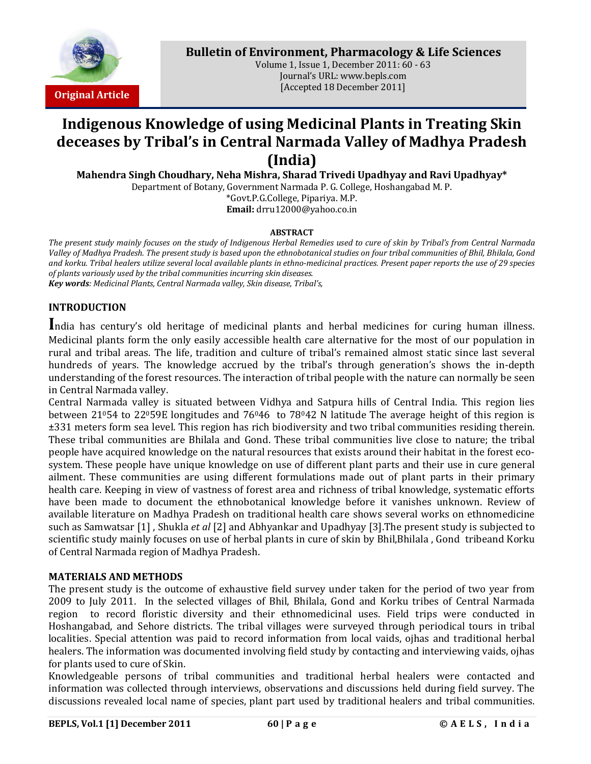

**Bulletin of Environment, Pharmacology & Life Sciences**

Volume 1, Issue 1, December 2011: 60 - 63 Journal's URL: www.bepls.com [Accepted 18 December 2011]

# **Indigenous Knowledge of using Medicinal Plants in Treating Skin deceases by Tribal's in Central Narmada Valley of Madhya Pradesh (India)**

**Mahendra Singh Choudhary, Neha Mishra, Sharad Trivedi Upadhyay and Ravi Upadhyay\***

Department of Botany, Government Narmada P. G. College, Hoshangabad M. P. \*Govt.P.G.College, Pipariya. M.P.

**Email:** drru12000@yahoo.co.in

#### **ABSTRACT**

*The present study mainly focuses on the study of Indigenous Herbal Remedies used to cure of skin by Tribal's from Central Narmada Valley of Madhya Pradesh. The present study is based upon the ethnobotanical studies on four tribal communities of Bhil, Bhilala, Gond and korku. Tribal healers utilize several local available plants in ethno-medicinal practices. Present paper reports the use of 29 species of plants variously used by the tribal communities incurring skin diseases. Key words: Medicinal Plants, Central Narmada valley, Skin disease, Tribal's,*

## **INTRODUCTION**

**I**ndia has century's old heritage of medicinal plants and herbal medicines for curing human illness. Medicinal plants form the only easily accessible health care alternative for the most of our population in rural and tribal areas. The life, tradition and culture of tribal's remained almost static since last several hundreds of years. The knowledge accrued by the tribal's through generation's shows the in-depth understanding of the forest resources. The interaction of tribal people with the nature can normally be seen in Central Narmada valley.

Central Narmada valley is situated between Vidhya and Satpura hills of Central India. This region lies between 21054 to 22059E longitudes and  $76046$  to  $78042$  N latitude The average height of this region is ±331 meters form sea level. This region has rich biodiversity and two tribal communities residing therein. These tribal communities are Bhilala and Gond. These tribal communities live close to nature; the tribal people have acquired knowledge on the natural resources that exists around their habitat in the forest ecosystem. These people have unique knowledge on use of different plant parts and their use in cure general ailment. These communities are using different formulations made out of plant parts in their primary health care. Keeping in view of vastness of forest area and richness of tribal knowledge, systematic efforts have been made to document the ethnobotanical knowledge before it vanishes unknown. Review of available literature on Madhya Pradesh on traditional health care shows several works on ethnomedicine such as Samwatsar [1] , Shukla *et al* [2] and Abhyankar and Upadhyay [3].The present study is subjected to scientific study mainly focuses on use of herbal plants in cure of skin by Bhil,Bhilala , Gond tribeand Korku of Central Narmada region of Madhya Pradesh.

### **MATERIALS AND METHODS**

The present study is the outcome of exhaustive field survey under taken for the period of two year from 2009 to July 2011. In the selected villages of Bhil, Bhilala, Gond and Korku tribes of Central Narmada region to record floristic diversity and their ethnomedicinal uses. Field trips were conducted in Hoshangabad, and Sehore districts. The tribal villages were surveyed through periodical tours in tribal localities. Special attention was paid to record information from local vaids, ojhas and traditional herbal healers. The information was documented involving field study by contacting and interviewing vaids, ojhas for plants used to cure of Skin.

Knowledgeable persons of tribal communities and traditional herbal healers were contacted and information was collected through interviews, observations and discussions held during field survey. The discussions revealed local name of species, plant part used by traditional healers and tribal communities.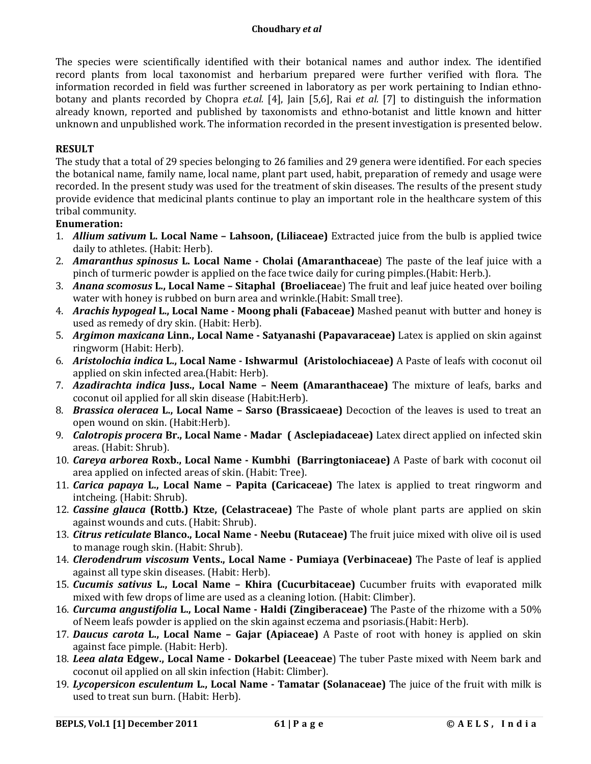## **Choudhary** *et al*

The species were scientifically identified with their botanical names and author index. The identified record plants from local taxonomist and herbarium prepared were further verified with flora. The information recorded in field was further screened in laboratory as per work pertaining to Indian ethnobotany and plants recorded by Chopra *et.al.* [4], Jain [5,6], Rai *et al.* [7] to distinguish the information already known, reported and published by taxonomists and ethno-botanist and little known and hitter unknown and unpublished work. The information recorded in the present investigation is presented below.

# **RESULT**

The study that a total of 29 species belonging to 26 families and 29 genera were identified. For each species the botanical name, family name, local name, plant part used, habit, preparation of remedy and usage were recorded. In the present study was used for the treatment of skin diseases. The results of the present study provide evidence that medicinal plants continue to play an important role in the healthcare system of this tribal community.

## **Enumeration:**

- 1. *Allium sativum* **L. Local Name – Lahsoon, (Liliaceae)** Extracted juice from the bulb is applied twice daily to athletes. (Habit: Herb).
- 2. *Amaranthus spinosus* **L. Local Name - Cholai (Amaranthaceae**) The paste of the leaf juice with a pinch of turmeric powder is applied on the face twice daily for curing pimples.(Habit: Herb.).
- 3. *Anana scomosus* **L., Local Name – Sitaphal (Broeliacea**e) The fruit and leaf juice heated over boiling water with honey is rubbed on burn area and wrinkle.(Habit: Small tree).
- 4. *Arachis hypogeal* **L., Local Name - Moong phali (Fabaceae)** Mashed peanut with butter and honey is used as remedy of dry skin. (Habit: Herb).
- 5. *Argimon maxicana* **Linn., Local Name - Satyanashi (Papavaraceae)** Latex is applied on skin against ringworm (Habit: Herb).
- 6. *Aristolochia indica* **L., Local Name - Ishwarmul (Aristolochiaceae)** A Paste of leafs with coconut oil applied on skin infected area.(Habit: Herb).
- 7. *Azadirachta indica* **Juss., Local Name – Neem (Amaranthaceae)** The mixture of leafs, barks and coconut oil applied for all skin disease (Habit:Herb).
- 8. *Brassica oleracea* **L., Local Name – Sarso (Brassicaeae)** Decoction of the leaves is used to treat an open wound on skin. (Habit:Herb).
- 9. *Calotropis procera* **Br., Local Name - Madar ( Asclepiadaceae)** Latex direct applied on infected skin areas. (Habit: Shrub).
- 10. *Careya arborea* **Roxb., Local Name - Kumbhi (Barringtoniaceae)** A Paste of bark with coconut oil area applied on infected areas of skin. (Habit: Tree).
- 11. *Carica papaya* **L., Local Name – Papita (Caricaceae)** The latex is applied to treat ringworm and intcheing. (Habit: Shrub).
- 12. *Cassine glauca* **(Rottb.) Ktze, (Celastraceae)** The Paste of whole plant parts are applied on skin against wounds and cuts. (Habit: Shrub).
- 13. *Citrus reticulate* **Blanco., Local Name - Neebu (Rutaceae)** The fruit juice mixed with olive oil is used to manage rough skin. (Habit: Shrub).
- 14. *Clerodendrum viscosum* **Vents., Local Name - Pumiaya (Verbinaceae)** The Paste of leaf is applied against all type skin diseases. (Habit: Herb).
- 15. *Cucumis sativus* **L., Local Name – Khira (Cucurbitaceae)** Cucumber fruits with evaporated milk mixed with few drops of lime are used as a cleaning lotion. (Habit: Climber).
- 16. *Curcuma angustifolia* **L., Local Name - Haldi (Zingiberaceae)** The Paste of the rhizome with a 50% of Neem leafs powder is applied on the skin against eczema and psoriasis.(Habit: Herb).
- 17. *Daucus carota* **L., Local Name – Gajar (Apiaceae)** A Paste of root with honey is applied on skin against face pimple. (Habit: Herb).
- 18. *Leea alata* **Edgew., Local Name - Dokarbel (Leeaceae**) The tuber Paste mixed with Neem bark and coconut oil applied on all skin infection (Habit: Climber).
- 19. *Lycopersicon esculentum* **L., Local Name - Tamatar (Solanaceae)** The juice of the fruit with milk is used to treat sun burn. (Habit: Herb).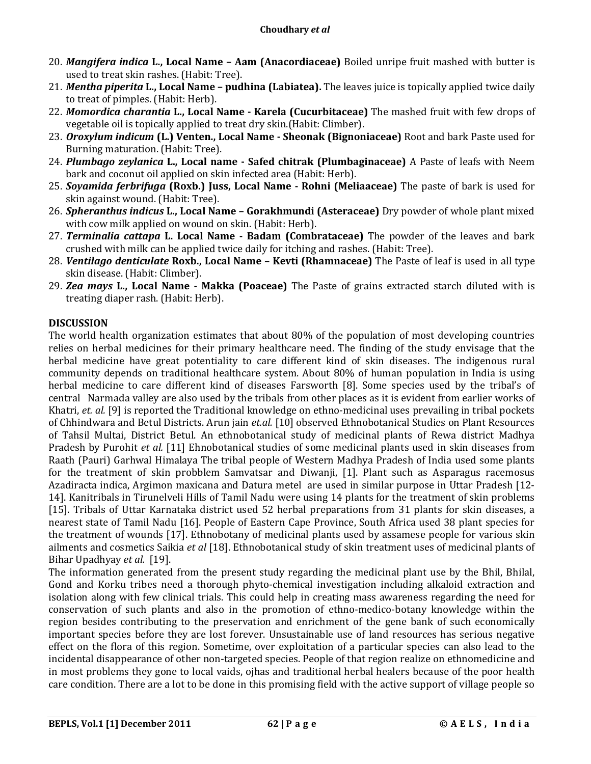- 20. *Mangifera indica* **L., Local Name – Aam (Anacordiaceae)** Boiled unripe fruit mashed with butter is used to treat skin rashes. (Habit: Tree).
- 21. *Mentha piperita* **L., Local Name – pudhina (Labiatea).** The leaves juice is topically applied twice daily to treat of pimples. (Habit: Herb).
- 22. *Momordica charantia* **L., Local Name - Karela (Cucurbitaceae)** The mashed fruit with few drops of vegetable oil is topically applied to treat dry skin.(Habit: Climber).
- 23. *Oroxylum indicum* **(L.) Venten., Local Name - Sheonak (Bignoniaceae)** Root and bark Paste used for Burning maturation. (Habit: Tree).
- 24. *Plumbago zeylanica* **L., Local name - Safed chitrak (Plumbaginaceae)** A Paste of leafs with Neem bark and coconut oil applied on skin infected area (Habit: Herb).
- 25. *Soyamida ferbrifuga* **(Roxb.) Juss, Local Name - Rohni (Meliaaceae)** The paste of bark is used for skin against wound. (Habit: Tree).
- 26. *Spheranthus indicus* **L., Local Name – Gorakhmundi (Asteraceae)** Dry powder of whole plant mixed with cow milk applied on wound on skin. (Habit: Herb).
- 27. *Terminalia cattapa* **L. Local Name - Badam (Combrataceae)** The powder of the leaves and bark crushed with milk can be applied twice daily for itching and rashes. (Habit: Tree).
- 28. *Ventilago denticulate* **Roxb., Local Name – Kevti (Rhamnaceae)** The Paste of leaf is used in all type skin disease. (Habit: Climber).
- 29. *Zea mays* **L., Local Name - Makka (Poaceae)** The Paste of grains extracted starch diluted with is treating diaper rash. (Habit: Herb).

## **DISCUSSION**

The world health organization estimates that about 80% of the population of most developing countries relies on herbal medicines for their primary healthcare need. The finding of the study envisage that the herbal medicine have great potentiality to care different kind of skin diseases. The indigenous rural community depends on traditional healthcare system. About 80% of human population in India is using herbal medicine to care different kind of diseases Farsworth [8]. Some species used by the tribal's of central Narmada valley are also used by the tribals from other places as it is evident from earlier works of Khatri, *et. al.* [9] is reported the Traditional knowledge on ethno-medicinal uses prevailing in tribal pockets of Chhindwara and Betul Districts. Arun jain *et.al.* [10] observed Ethnobotanical Studies on Plant Resources of Tahsil Multai, District Betul. An ethnobotanical study of medicinal plants of Rewa district Madhya Pradesh by Purohit *et al.* [11] Ehnobotanical studies of some medicinal plants used in skin diseases from Raath (Pauri) Garhwal Himalaya The tribal people of Western Madhya Pradesh of India used some plants for the treatment of skin probblem Samvatsar and Diwanji, [1]. Plant such as Asparagus racemosus Azadiracta indica, Argimon maxicana and Datura metel are used in similar purpose in Uttar Pradesh [12- 14]. Kanitribals in Tirunelveli Hills of Tamil Nadu were using 14 plants for the treatment of skin problems [15]. Tribals of Uttar Karnataka district used 52 herbal preparations from 31 plants for skin diseases, a nearest state of Tamil Nadu [16]. People of Eastern Cape Province, South Africa used 38 plant species for the treatment of wounds [17]. Ethnobotany of medicinal plants used by assamese people for various skin ailments and cosmetics Saikia *et al* [18]. Ethnobotanical study of skin treatment uses of medicinal plants of Bihar Upadhyay *et al.* [19].

The information generated from the present study regarding the medicinal plant use by the Bhil, Bhilal, Gond and Korku tribes need a thorough phyto-chemical investigation including alkaloid extraction and isolation along with few clinical trials. This could help in creating mass awareness regarding the need for conservation of such plants and also in the promotion of ethno-medico-botany knowledge within the region besides contributing to the preservation and enrichment of the gene bank of such economically important species before they are lost forever. Unsustainable use of land resources has serious negative effect on the flora of this region. Sometime, over exploitation of a particular species can also lead to the incidental disappearance of other non-targeted species. People of that region realize on ethnomedicine and in most problems they gone to local vaids, ojhas and traditional herbal healers because of the poor health care condition. There are a lot to be done in this promising field with the active support of village people so